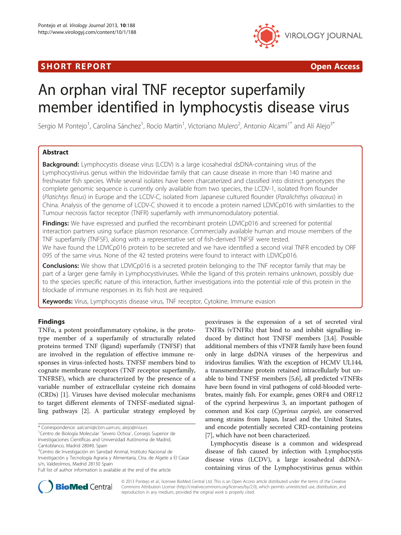# **SHORT REPORT CONSUMING THE SHORT CONSUMING THE CONSUMING THE CONSUMING THE CONSUMING THE CONSUMING THE CONSUMING T**



# An orphan viral TNF receptor superfamily member identified in lymphocystis disease virus

Sergio M Pontejo<sup>1</sup>, Carolina Sánchez<sup>1</sup>, Rocío Martín<sup>1</sup>, Victoriano Mulero<sup>2</sup>, Antonio Alcami<sup>1\*</sup> and Alí Alejo<sup>3\*</sup>

# Abstract

**Background:** Lymphocystis disease virus (LCDV) is a large icosahedral dsDNA-containing virus of the Lymphocystivirus genus within the Iridoviridae family that can cause disease in more than 140 marine and freshwater fish species. While several isolates have been charcaterized and classified into distinct genotypes the complete genomic sequence is currently only available from two species, the LCDV-1, isolated from flounder (Platichtys flesus) in Europe and the LCDV-C, isolated from Japanese cultured flounder (Paralichthys olivaceus) in China. Analysis of the genome of LCDV-C showed it to encode a protein named LDVICp016 with similarities to the Tumour necrosis factor receptor (TNFR) superfamily with immunomodulatory potential.

Findings: We have expressed and purified the recombinant protein LDVICp016 and screened for potential interaction partners using surface plasmon resonance. Commercially available human and mouse members of the TNF superfamily (TNFSF), along with a representative set of fish-derived TNFSF were tested.

We have found the LDVICp016 protein to be secreted and we have identified a second viral TNFR encoded by ORF 095 of the same virus. None of the 42 tested proteins were found to interact with LDVICp016.

**Conclusions:** We show that LDVICp016 is a secreted protein belonging to the TNF receptor family that may be part of a larger gene family in Lymphocystiviruses. While the ligand of this protein remains unknown, possibly due to the species specific nature of this interaction, further investigations into the potential role of this protein in the blockade of immune responses in its fish host are required.

Keywords: Virus, Lymphocystis disease virus, TNF receptor, Cytokine, Immune evasion

## Findings

TNFα, a potent proinflammatory cytokine, is the prototype member of a superfamily of structurally related proteins termed TNF (ligand) superfamily (TNFSF) that are involved in the regulation of effective immune responses in virus-infected hosts. TNFSF members bind to cognate membrane receptors (TNF receptor superfamily, TNFRSF), which are characterized by the presence of a variable number of extracellular cysteine rich domains (CRDs) [\[1](#page-5-0)]. Viruses have devised molecular mechanisms to target different elements of TNFSF-mediated signalling pathways [\[2](#page-5-0)]. A particular strategy employed by

poxviruses is the expression of a set of secreted viral TNFRs (vTNFRs) that bind to and inhibit signalling induced by distinct host TNFSF members [\[3,4](#page-5-0)]. Possible additional members of this vTNFR family have been found only in large dsDNA viruses of the herpesvirus and iridovirus families. With the exception of HCMV UL144, a transmembrane protein retained intracellularly but unable to bind TNFSF members [\[5,6](#page-5-0)], all predicted vTNFRs have been found in viral pathogens of cold-blooded vertebrates, mainly fish. For example, genes ORF4 and ORF12 of the cyprind herpesvirus 3, an important pathogen of common and Koi carp (Cyprinus carpio), are conserved among strains from Japan, Israel and the United States, and encode potentially secreted CRD-containing proteins [[7\]](#page-5-0), which have not been characterized.

Lymphocystis disease is a common and widespread disease of fish caused by infection with Lymphocystis disease virus (LCDV), a large icosahedral dsDNAcontaining virus of the Lymphocystivirus genus within



© 2013 Pontejo et al.; licensee BioMed Central Ltd. This is an Open Access article distributed under the terms of the Creative Commons Attribution License [\(http://creativecommons.org/licenses/by/2.0\)](http://creativecommons.org/licenses/by/2.0), which permits unrestricted use, distribution, and reproduction in any medium, provided the original work is properly cited.

<sup>\*</sup> Correspondence: [aalcami@cbm.uam.es](mailto:aalcami@cbm.uam.es); [alejo@inia.es](mailto:alejo@inia.es) <sup>1</sup>

Centro de Biología Molecular ¨Severo Ochoa¨, Consejo Superior de Investigaciones Científicas and Universidad Autónoma de Madrid, Cantoblanco, Madrid 28049, Spain

<sup>&</sup>lt;sup>3</sup>Centro de Investigación en Sanidad Animal, Instituto Nacional de Investigación y Tecnología Agraria y Alimentaria, Ctra. de Algete a El Casar s/n, Valdeolmos, Madrid 28130 Spain

Full list of author information is available at the end of the article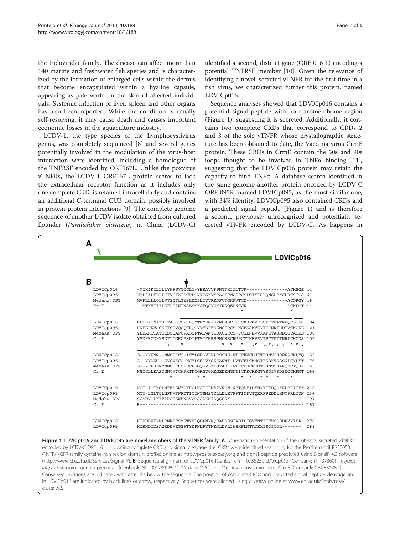the Iridoviridae family. The disease can affect more than 140 marine and freshwater fish species and is characterized by the formation of enlarged cells within the dermis that become encapsulated within a hyaline capsule, appearing as pale warts on the skin of affected individuals. Systemic infection of liver, spleen and other organs has also been reported. While the condition is usually self-resolving, it may cause death and causes important economic losses in the aquaculture industry.

LCDV-1, the type species of the Lymphocystivirus genus, was completely sequenced [\[8](#page-5-0)] and several genes potentially involved in the modulation of the virus-host interaction were identified, including a homologue of the TNFRSF encoded by ORF167L. Unlike the poxvirus vTNFRs, the LCDV-1 ORF167L protein seems to lack the extracellular receptor function as it includes only one complete CRD, is retained intracellularly and contains an additional C-terminal CUB domain, possibly involved in protein-protein interactions [\[9\]](#page-5-0). The complete genome sequence of another LCDV isolate obtained from cultured flounder (Paralichthys olivaceus) in China (LCDV-C)

identified a second, distinct gene (ORF 016 L) encoding a potential TNFRSF member [[10](#page-5-0)]. Given the relevance of identifying a novel, secreted vTNFR for the first time in a fish virus, we characterized further this protein, named LDVICp016.

Sequence analyses showed that LDVICp016 contains a potential signal peptide with no transmembrane region (Figure 1), suggesting it is secreted. Additionally, it contains two complete CRDs that correspond to CRDs 2 and 3 of the sole vTNFR whose crystallographic structure has been obtained to date, the Vaccinia virus CrmE protein. These CRDs in CrmE contain the 50s and 90s loops thought to be involved in TNF $\alpha$  binding [\[11](#page-5-0)], suggesting that the LDVICp016 protein may retain the capacity to bind TNFα. A database search identified in the same genome another protein encoded by LCDV-C ORF 095R, named LDVICp095, as the most similar one, with 34% identity. LDVICp095 also contained CRDs and a predicted signal peptide (Figure 1) and is therefore a second, previously unrecognized and potentially secreted vTNFR encoded by LCDV-C. As happens in

|            | LDVICp016                                                                                                                  |  |
|------------|----------------------------------------------------------------------------------------------------------------------------|--|
|            |                                                                                                                            |  |
| B          |                                                                                                                            |  |
| LDVICp016  | -MIKIKILLLLLYWFPVYOCLT-YERAVVFPNGTKIILTCP--------------ACKSGE 44                                                           |  |
| LDVIcp095  | MMLFILFLLPITVHTATDCPPGYYISKVYPAGTPMCSPCSPGTYTGLONSLRKCLRCSTCS 61                                                           |  |
| Medaka OPG | MVFLLLLQLLVTSGTLGYSLDNPLTYVRKDFVTGKPVTCD--------------ACQPGY 46                                                            |  |
| CrmE       | --MTKVIIILGFLIINTNSLSMKCEQGVSYYNSQELKCCK---------------LCKPGT 44                                                           |  |
|            | $*$                                                                                                                        |  |
| LDVICp016  | KLDSYCNITHTTACLTCPKNOYTPYDNYGPNCMSCT-KCKHPKVELSPCTPATNROCGCKN 104                                                          |  |
| LDVIcp095  | HNEEPKVACSTTSDVOCOCROGYYYDPESEMCFPCS-NCESSKVKVTTCNRTHDTVCKCKE 121                                                          |  |
| Medaka OPG | YLRAHCTATQKSQCAPCPAGSFTAIWNYIDKCLRCS-VCGLNEVVKKPCTASNDSQCACKD 106                                                          |  |
| CrmE       | YSDHRCDKYSDTICGHCPSDTFTSIYNRSPWCHSCRGPCGTNRVEVTPCTPTTNRICHCDS 105<br>$\star$<br>$*$ $*$ $*$ $*$ $*$ $*$ $*$ $*$<br>$\cdot$ |  |
| LDVICp016  | G--YYENN--NNCIKCS-ICYLGEGVEEPCSSNS-NTKCKVCLHETFSNVISSEEPCKPYO 159                                                          |  |
| LDVIcp095  | G--YYDKN--GVCVKCG-NCYLGEGVKSKCANNT-DVTCELCKNGTFSDKVSSSNICYLYT 176                                                          |  |
| Medaka OPG | G--YFFHPRYNMCTRHS-ECPSGQGVLTEGTAEK-NTVCHSCPDGTFSNSSSARQNCTQHR 163                                                          |  |
| CrmE       | NSYCLLKASDGNCVTCAPKTKCGRGYGKKGEDEMGNTICKKCRKGTYSDIVSDSDQCKPMT 166                                                          |  |
|            | $\mathbf{r} = \mathbf{r} \cdot \mathbf{r}$ , where $\mathbf{r} = \mathbf{r} \cdot \mathbf{r}$<br>$*$ , $*$                 |  |
| LDVICp016  | NCT-IGTKSLNFELSWYDKFCLNCTIFNATVNLN-NFTODFILYNYYTTDOLKKLARITFK 218                                                          |  |
| LDVIcp095  | MCT-LGLTOLNFNVTWFDTICINCSMSTDLLDLETFFTINFVTORRFPEDDLKNMFRLTYN 236                                                          |  |
| Medaka OPG | SCSDVGLKTVLRGSSWHNSVCGSCDENIDQSSSK--------------------------- 197                                                          |  |
| CrmE       |                                                                                                                            |  |
| LDVICp016  | KTRDDVEYMPRWNLESMFTYNDOLPNYMOEADLSGTADILIGYYNTIKEVCLSDFYYIEA 278                                                           |  |
| LDVIcp095  | KTRNDIDSANRDDVEGSFTYDPNLPYTMKOLDYLIASKFLMTAYKKISOICOL------- 289                                                           |  |
|            |                                                                                                                            |  |

encoded by LCDV-C ORF 16 L indicating complete CRD and signal cleavage site. CRDs were identified searching for the Prosite motif PS50050 (TNFR/NGFR family cysteine-rich region domain profile) online at<http://prosite.expasy.org> and signal peptide predicted using SignalP 4.0 software (<http://www.cbs.dtu.dk/services/SignalP/>). B. Sequence alignment of LDVICp016 [Genbank: YP\_073525], LDVICp095 [Genbank: YP\_073601], Oryzias latipes osteoprotegerin a precursor [Genbank: NP\_001239169.1] (Medaka OPG) and Vaccinia virus strain Lister CrmE [Genbank: CAC83048.1]. Conserved positions are indicated with asterisks below the sequence. The position of complete CRDs and predicted signal peptide cleavage site in LDVICp016 are indicated by black lines or arrow, respectively. Sequences were aligned using clustalw online at [www.ebi.ac.uk/Tools/msa/](http://www.ebi.ac.uk/Tools/msa/clustalw2) [clustalw2](http://www.ebi.ac.uk/Tools/msa/clustalw2).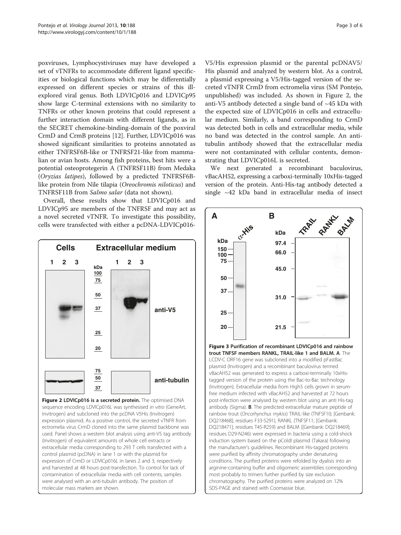<span id="page-2-0"></span>poxviruses, Lymphocystiviruses may have developed a set of vTNFRs to accommodate different ligand specificities or biological functions which may be differentially expressed on different species or strains of this illexplored viral genus. Both LDVICp016 and LDVICp95 show large C-terminal extensions with no similarity to TNFRs or other known proteins that could represent a further interaction domain with different ligands, as in the SECRET chemokine-binding-domain of the poxviral CrmD and CrmB proteins [\[12\]](#page-5-0). Further, LDVICp016 was showed significant similarities to proteins annotated as either TNFRSF6B-like or TNFRSF21-like from mammalian or avian hosts. Among fish proteins, best hits were a potential osteoprotegerin A (TNFRSF11B) from Medaka (Oryzias latipes), followed by a predicted TNFRSF6Blike protein from Nile tilapia (Oreochromis niloticus) and TNFRSF11B from Salmo salar (data not shown).

Overall, these results show that LDVICp016 and LDVICp95 are members of the TNFRSF and may act as a novel secreted vTNFR. To investigate this possibility, cells were transfected with either a pcDNA-LDVICp016-



Figure 2 LDVICp016 is a secreted protein. The optimised DNA sequence encoding LDVICp016L was synthesised in vitro (GeneArt, Invitrogen) and subcloned into the pcDNA V5His (Invitrogen) expression plasmid. As a positive control, the secreted vTNFR from ectromelia virus CrmD cloned into the same plasmid backbone was used. Panel shows a western blot analysis using anti-V5 tag antibody (Invitrogen) of equivalent amounts of whole cell extracts or extracellular media corresponding to 293 T cells transfected with a control plasmid (pcDNA) in lane 1 or with the plasmid for expression of CrmD or LDVICp016L in lanes 2 and 3, respectively and harvested at 48 hours post-transfection. To control for lack of contamination of extracellular media with cell contents, samples were analysed with an anti-tubulin antibody. The position of molecular mass markers are shown.

V5/His expression plasmid or the parental pcDNAV5/ His plasmid and analyzed by western blot. As a control, a plasmid expressing a V5/His-tagged version of the secreted vTNFR CrmD from ectromelia virus (SM Pontejo, unpublished) was included. As shown in Figure 2, the anti-V5 antibody detected a single band of ~45 kDa with the expected size of LDVICp016 in cells and extracellular medium. Similarly, a band corresponding to CrmD was detected both in cells and extracellular media, while no band was detected in the control sample. An antitubulin antibody showed that the extracellular media were not contaminated with cellular contents, demonstrating that LDVICp016L is secreted.

We next generated a recombinant baculovirus, vBacAH52, expressing a carboxi-terminally 10xHis-tagged version of the protein. Anti-His-tag antibody detected a single ~42 kDa band in extracellular media of insect



Figure 3 Purification of recombinant LDVICp016 and rainbow trout TNFSF members RANKL, TRAIL-like 1 and BALM. A. The LCDV-C ORF16 gene was subcloned into a modified pFastBac plasmid (Invitrogen) and a recombinant baculovirus termed vBacAH52 was generated to express a carboxi-terminally 10xHistagged version of the protein using the Bac-to-Bac technology (Invitrogen). Extracellular media from High5 cells grown in serumfree medium infected with vBacAH52 and harvested at 72 hours post-infection were analysed by western blot using an anti His-tag antibody (Sigma). B. The predicted extracellular mature peptide of rainbow trout (Oncorhynchus mykiss) TRAIL-like (TNFSF10; [Genbank: DQ218468]; residues F33-S291), RANKL (TNFSF11; [Genbank: DQ218471]; residues T45-R259) and BALM ([Genbank: DQ218469]; residues D29-N246) were expressed in bacteria using a cold-shock induction system based on the pColdI plasmid (Takara) following the manufacturer's guidelines. Recombinant His-tagged proteins were purified by affinity chromatography under denaturing conditions. The purified proteins were refolded by dyalisis into an arginine-containing buffer and oligomeric assemblies corresponding most probably to trimers further purified by size exclusion chromatography. The purified proteins were analyzed on 12% SDS-PAGE and stained with Coomassie blue.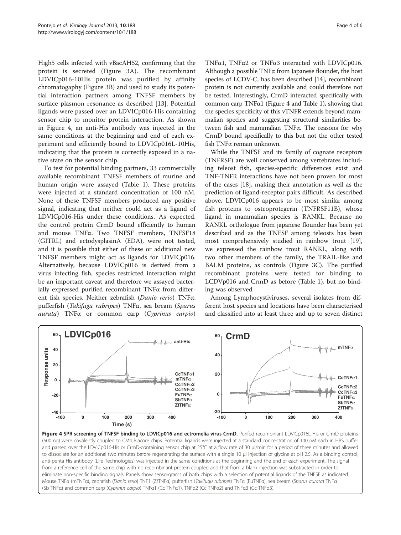High5 cells infected with vBacAH52, confirming that the protein is secreted (Figure [3A](#page-2-0)). The recombinant LDVICp016-10His protein was purified by affinity chromatogaphy (Figure [3B](#page-2-0)) and used to study its potential interaction partners among TNFSF members by surface plasmon resonance as described [\[13](#page-5-0)]. Potential ligands were passed over an LDVICp016-His containing sensor chip to monitor protein interaction. As shown in Figure 4, an anti-His antibody was injected in the same conditions at the beginning and end of each experiment and efficiently bound to LDVICp016L-10His, indicating that the protein is correctly exposed in a native state on the sensor chip.

To test for potential binding partners, 33 commercially available recombinant TNFSF members of murine and human origin were assayed (Table [1\)](#page-4-0). These proteins were injected at a standard concentration of 100 nM. None of these TNFSF members produced any positive signal, indicating that neither could act as a ligand of LDVICp016-His under these conditions. As expected, the control protein CrmD bound efficiently to human and mouse TNFα. Two TNFSF members, TNFSF18 (GITRL) and ectodysplasinA (EDA), were not tested, and it is possible that either of these or additional new TNFSF members might act as ligands for LDVICp016. Alternatively, because LDVICp016 is derived from a virus infecting fish, species restricted interaction might be an important caveat and therefore we assayed bacterially expressed purified recombinant TNFα from different fish species. Neither zebrafish (Danio rerio) TNFα, pufferfish (Takifugu rubripes) TNFα, sea bream (Sparus aurata) TNF<sup>α</sup> or common carp (Cyprinus carpio)

TNFα1, TNFα2 or TNFα3 interacted with LDVICp016. Although a possible TNFα from Japanese flounder, the host species of LCDV-C, has been described [\[14\]](#page-5-0), recombinant protein is not currently available and could therefore not be tested. Interestingly, CrmD interacted specifically with common carp TNFα1 (Figure 4 and Table [1\)](#page-4-0), showing that the species specificity of this vTNFR extends beyond mammalian species and suggesting structural similarities between fish and mammalian TNFα. The reasons for why CrmD bound specifically to this but not the other tested fish TNFα remain unknown.

While the TNFSF and its family of cognate receptors (TNFRSF) are well conserved among vertebrates including teleost fish, species-specific differences exist and TNF-TNFR interactions have not been proven for most of the cases [\[18\]](#page-5-0), making their annotation as well as the prediction of ligand-receptor pairs difficult. As described above, LDVICp016 appears to be most similar among fish proteins to osteoprotegerin (TNFRSF11B), whose ligand in mammalian species is RANKL. Because no RANKL orthologue from japanese flounder has been yet described and as the TNFSF among teleosts has been most comprehensively studied in rainbow trout [\[19](#page-5-0)], we expressed the rainbow trout RANKL, along with two other members of the family, the TRAIL-like and BALM proteins, as controls (Figure [3](#page-2-0)C). The purified recombinant proteins were tested for binding to LCDVp016 and CrmD as before (Table [1\)](#page-4-0), but no binding was observed.

Among Lymphocystiviruses, several isolates from different host species and locations have been characterised and classified into at least three and up to seven distinct



Figure 4 SPR screening of TNFSF binding to LDVICp016 and ectromelia virus CrmD. Purifed recombinant LDVICp016L-His or CrmD proteins (500 ng) were covalently coupled to CM4 Biacore chips. Potential ligands were injected at a standard concentration of 100 nM each in HBS buffer and passed over the LDVICp016-His or CrmD-containing sensor chip at 25°C at a flow rate of 30 μl/min for a period of three minutes and allowed to dissociate for an additional two minutes before regenerating the surface with a single 10 μl injection of glycine at pH 2.5. As a binding control, anti-penta His antibody (Life Technologies) was injected in the same conditions at the beginning and the end of each experiment. The signal from a reference cell of the same chip with no recombinant protein coupled and that from a blank injection was substracted in order to eliminate non-specific binding signals. Panels show sensorgrams of both chips with a selection of potential ligands of the TNFSF as indicated. Mouse TNFα (mTNFα), zebrafish (Danio rerio) TNF1 (ZfTNFα) pufferfish (Takifugu rubripes) TNFα (FuTNFα), sea bream (Sparus aurata) TNFα (Sb TNFα) and common carp (Cyprinus carpio) TNFα1 (Cc TNFα1), TNFα2 (Cc TNFα2) and TNFα3 (Cc TNFα3).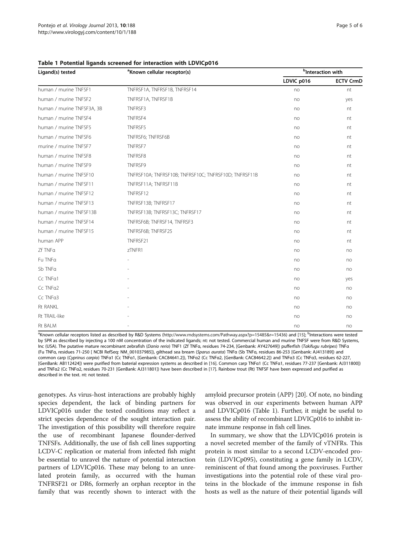| Ligand(s) tested           | <sup>a</sup> Known cellular receptor(s)               | <sup>b</sup> Interaction with |                  |
|----------------------------|-------------------------------------------------------|-------------------------------|------------------|
|                            |                                                       | LDVIC p016                    | <b>ECTV CrmD</b> |
| human / murine TNFSF1      | TNFRSF1A, TNFRSF1B, TNFRSF14                          | no                            | nt               |
| human / murine TNFSF2      | TNFRSF1A, TNFRSF1B                                    | no                            | yes              |
| human / murine TNFSF3A, 3B | TNFRSF3                                               | no                            | nt               |
| human / murine TNFSF4      | TNFRSF4                                               | no                            | nt               |
| human / murine TNFSF5      | TNFRSF5                                               | no                            | nt               |
| human / murine TNFSF6      | TNFRSF6; TNFRSF6B                                     | no                            | nt               |
| murine / murine TNFSF7     | TNFRSF7                                               | no                            | nt               |
| human / murine TNFSF8      | TNFRSF8                                               | no                            | nt               |
| human / murine TNFSF9      | TNFRSF9                                               | no                            | nt               |
| human / murine TNFSF10     | TNFRSF10A; TNFRSF10B; TNFRSF10C; TNFRSF10D; TNFRSF11B | no                            | nt               |
| human / murine TNFSF11     | TNFRSF11A; TNFRSF11B                                  | no                            | nt               |
| human / murine TNFSF12     | TNFRSF12                                              | no                            | nt               |
| human / murine TNFSF13     | TNFRSF13B; TNFRSF17                                   | no                            | nt               |
| human / murine TNFSF13B    | TNFRSF13B; TNFRSF13C; TNFRSF17                        | no                            | nt               |
| human / murine TNFSF14     | TNFRSF6B; TNFRSF14, TNFRSF3                           | no                            | nt               |
| human / murine TNFSF15     | TNFRSF6B; TNFRSF25                                    | no                            | nt               |
| human APP                  | TNFRSF21                                              | no                            | nt               |
| Zf TNFa                    | zTNFR1                                                | no                            | no               |
| Fu TNFa                    |                                                       | no                            | no               |
| Sb TNFa                    |                                                       | no                            | no               |
| Cc TNFa1                   |                                                       | no                            | yes              |
| Cc TNFa2                   |                                                       | no                            | no               |
| Cc TNFa3                   |                                                       | no                            | no               |
| <b>Rt RANKL</b>            |                                                       | no                            | no               |
| Rt TRAIL-like              |                                                       | no                            | no               |
| Rt BALM                    |                                                       | no                            | no               |

### <span id="page-4-0"></span>Table 1 Potential ligands screened for interaction with LDVICp016

<sup>a</sup>Known cellular receptors listed as described by R&D Systems [\(http://www.rndsystems.com/Pathway.aspx?p=15485&r=15436\)](http://www.rndsystems.com/Pathway.aspx?p=15485&r=15436) and [\[15](#page-5-0)]; <sup>b</sup>Interactions were tested by SPR as described by injecting a 100 nM concentration of the indicated ligands; nt: not tested. Commercial human and murine TNFSF were from R&D Systems, Inc (USA). The putative mature recombinant zebrafish (Danio rerio) TNF1 (Zf TNFα, residues 74-234, [Genbank: AY427649]) pufferfish (Takifugu rubripes) TNF<sup>α</sup> (Fu TNFα, residues 71-250 [ NCBI RefSeq: NM\_001037985]), gilthead sea bream (Sparus aurata) TNF<sup>α</sup> (Sb TNFα, residues 86-253 [Genbank: AJ413189]) and common carp (Cyprinus carpio) TNFα1 (Cc TNFα1, [Genbank: CAC84641.2]), TNFα2 (Cc TNFα2, [GenBank: CAC84642.2]) and TNFα3 (Cc TNFα3, residues 62-227, [GenBank: AB112424]) were purified from baterial expression systems as described in [\[16\]](#page-5-0). Common carp TNFα1 (Cc TNFα1, residues 77-237 [Genbank: AJ311800]) and TNFa2 (Cc TNFa2, residues 70-231 [GenBank: AJ311801]) have been described in [\[17](#page-5-0)]. Rainbow trout (Rt) TNFSF have been expressed and purified as described in the text. nt: not tested.

genotypes. As virus-host interactions are probably highly species dependent, the lack of binding partners for LDVICp016 under the tested conditions may reflect a strict species dependence of the sought interaction pair. The investigation of this possibility will therefore require the use of recombinant Japanese flounder-derived TNFSFs. Additionally, the use of fish cell lines supporting LCDV-C replication or material from infected fish might be essential to unravel the nature of potential interaction partners of LDVICp016. These may belong to an unrelated protein family, as occurred with the human TNFRSF21 or DR6, formerly an orphan receptor in the family that was recently shown to interact with the amyloid precursor protein (APP) [[20\]](#page-5-0). Of note, no binding was observed in our experiments between human APP and LDVICp016 (Table 1). Further, it might be useful to assess the ability of recombinant LDVICp016 to inhibit innate immune response in fish cell lines.

In summary, we show that the LDVICp016 protein is a novel secreted member of the family of vTNFRs. This protein is most similar to a second LCDV-encoded protein (LDVICp095), constituting a gene family in LCDV, reminiscent of that found among the poxviruses. Further investigations into the potential role of these viral proteins in the blockade of the immune response in fish hosts as well as the nature of their potential ligands will